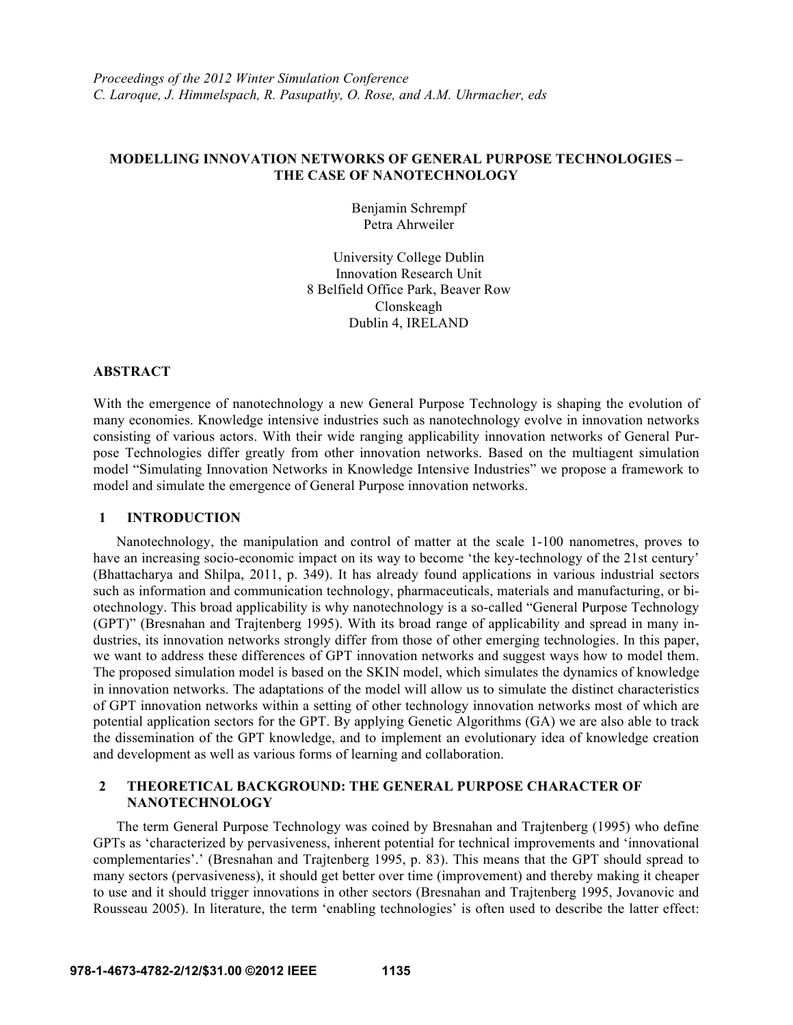# **MODELLING INNOVATION NETWORKS OF GENERAL PURPOSE TECHNOLOGIES – THE CASE OF NANOTECHNOLOGY**

Benjamin Schrempf Petra Ahrweiler

University College Dublin Innovation Research Unit 8 Belfield Office Park, Beaver Row Clonskeagh Dublin 4, IRELAND

### **ABSTRACT**

With the emergence of nanotechnology a new General Purpose Technology is shaping the evolution of many economies. Knowledge intensive industries such as nanotechnology evolve in innovation networks consisting of various actors. With their wide ranging applicability innovation networks of General Purpose Technologies differ greatly from other innovation networks. Based on the multiagent simulation model "Simulating Innovation Networks in Knowledge Intensive Industries" we propose a framework to model and simulate the emergence of General Purpose innovation networks.

## **1 INTRODUCTION**

Nanotechnology, the manipulation and control of matter at the scale 1-100 nanometres, proves to have an increasing socio-economic impact on its way to become 'the key-technology of the 21st century' (Bhattacharya and Shilpa, 2011, p. 349). It has already found applications in various industrial sectors such as information and communication technology, pharmaceuticals, materials and manufacturing, or biotechnology. This broad applicability is why nanotechnology is a so-called "General Purpose Technology (GPT)" (Bresnahan and Trajtenberg 1995). With its broad range of applicability and spread in many industries, its innovation networks strongly differ from those of other emerging technologies. In this paper, we want to address these differences of GPT innovation networks and suggest ways how to model them. The proposed simulation model is based on the SKIN model, which simulates the dynamics of knowledge in innovation networks. The adaptations of the model will allow us to simulate the distinct characteristics of GPT innovation networks within a setting of other technology innovation networks most of which are potential application sectors for the GPT. By applying Genetic Algorithms (GA) we are also able to track the dissemination of the GPT knowledge, and to implement an evolutionary idea of knowledge creation and development as well as various forms of learning and collaboration.

# **2 THEORETICAL BACKGROUND: THE GENERAL PURPOSE CHARACTER OF NANOTECHNOLOGY**

The term General Purpose Technology was coined by Bresnahan and Trajtenberg (1995) who define GPTs as 'characterized by pervasiveness, inherent potential for technical improvements and 'innovational complementaries'.' (Bresnahan and Trajtenberg 1995, p. 83). This means that the GPT should spread to many sectors (pervasiveness), it should get better over time (improvement) and thereby making it cheaper to use and it should trigger innovations in other sectors (Bresnahan and Trajtenberg 1995, Jovanovic and Rousseau 2005). In literature, the term 'enabling technologies' is often used to describe the latter effect: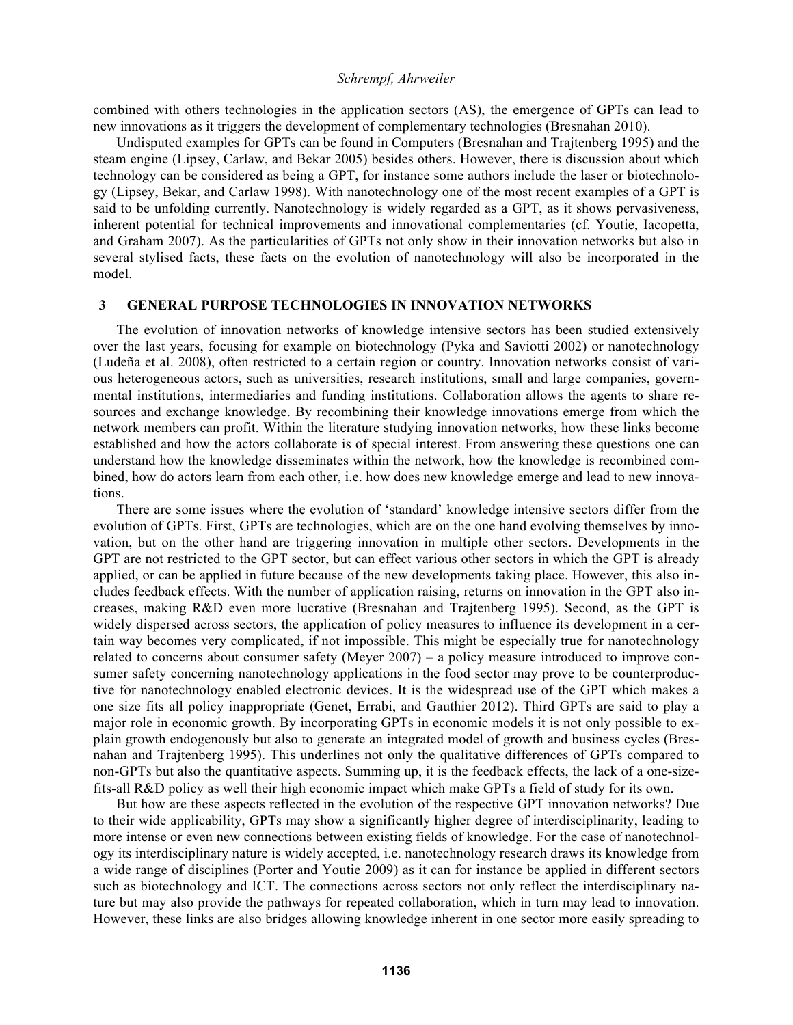combined with others technologies in the application sectors (AS), the emergence of GPTs can lead to new innovations as it triggers the development of complementary technologies (Bresnahan 2010).

Undisputed examples for GPTs can be found in Computers (Bresnahan and Trajtenberg 1995) and the steam engine (Lipsey, Carlaw, and Bekar 2005) besides others. However, there is discussion about which technology can be considered as being a GPT, for instance some authors include the laser or biotechnology (Lipsey, Bekar, and Carlaw 1998). With nanotechnology one of the most recent examples of a GPT is said to be unfolding currently. Nanotechnology is widely regarded as a GPT, as it shows pervasiveness, inherent potential for technical improvements and innovational complementaries (cf. Youtie, Iacopetta, and Graham 2007). As the particularities of GPTs not only show in their innovation networks but also in several stylised facts, these facts on the evolution of nanotechnology will also be incorporated in the model.

### **3 GENERAL PURPOSE TECHNOLOGIES IN INNOVATION NETWORKS**

The evolution of innovation networks of knowledge intensive sectors has been studied extensively over the last years, focusing for example on biotechnology (Pyka and Saviotti 2002) or nanotechnology (Ludeña et al. 2008), often restricted to a certain region or country. Innovation networks consist of various heterogeneous actors, such as universities, research institutions, small and large companies, governmental institutions, intermediaries and funding institutions. Collaboration allows the agents to share resources and exchange knowledge. By recombining their knowledge innovations emerge from which the network members can profit. Within the literature studying innovation networks, how these links become established and how the actors collaborate is of special interest. From answering these questions one can understand how the knowledge disseminates within the network, how the knowledge is recombined combined, how do actors learn from each other, i.e. how does new knowledge emerge and lead to new innovations.

There are some issues where the evolution of 'standard' knowledge intensive sectors differ from the evolution of GPTs. First, GPTs are technologies, which are on the one hand evolving themselves by innovation, but on the other hand are triggering innovation in multiple other sectors. Developments in the GPT are not restricted to the GPT sector, but can effect various other sectors in which the GPT is already applied, or can be applied in future because of the new developments taking place. However, this also includes feedback effects. With the number of application raising, returns on innovation in the GPT also increases, making R&D even more lucrative (Bresnahan and Trajtenberg 1995). Second, as the GPT is widely dispersed across sectors, the application of policy measures to influence its development in a certain way becomes very complicated, if not impossible. This might be especially true for nanotechnology related to concerns about consumer safety (Meyer 2007) – a policy measure introduced to improve consumer safety concerning nanotechnology applications in the food sector may prove to be counterproductive for nanotechnology enabled electronic devices. It is the widespread use of the GPT which makes a one size fits all policy inappropriate (Genet, Errabi, and Gauthier 2012). Third GPTs are said to play a major role in economic growth. By incorporating GPTs in economic models it is not only possible to explain growth endogenously but also to generate an integrated model of growth and business cycles (Bresnahan and Trajtenberg 1995). This underlines not only the qualitative differences of GPTs compared to non-GPTs but also the quantitative aspects. Summing up, it is the feedback effects, the lack of a one-sizefits-all R&D policy as well their high economic impact which make GPTs a field of study for its own.

But how are these aspects reflected in the evolution of the respective GPT innovation networks? Due to their wide applicability, GPTs may show a significantly higher degree of interdisciplinarity, leading to more intense or even new connections between existing fields of knowledge. For the case of nanotechnology its interdisciplinary nature is widely accepted, i.e. nanotechnology research draws its knowledge from a wide range of disciplines (Porter and Youtie 2009) as it can for instance be applied in different sectors such as biotechnology and ICT. The connections across sectors not only reflect the interdisciplinary nature but may also provide the pathways for repeated collaboration, which in turn may lead to innovation. However, these links are also bridges allowing knowledge inherent in one sector more easily spreading to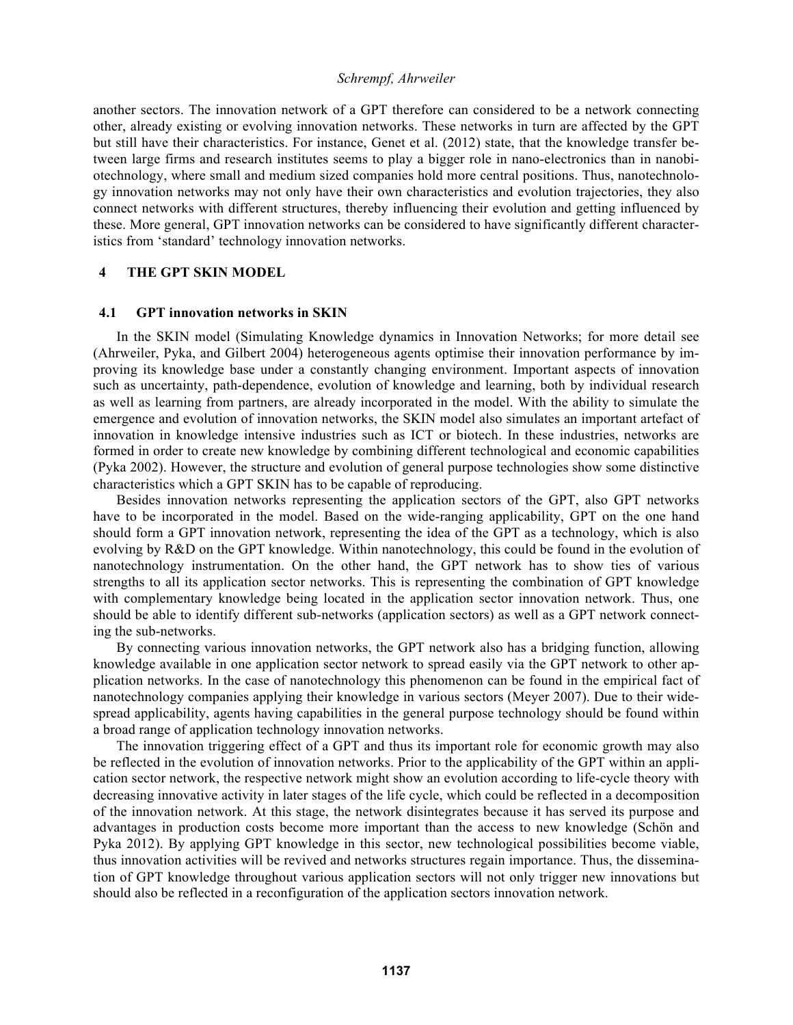another sectors. The innovation network of a GPT therefore can considered to be a network connecting other, already existing or evolving innovation networks. These networks in turn are affected by the GPT but still have their characteristics. For instance, Genet et al. (2012) state, that the knowledge transfer between large firms and research institutes seems to play a bigger role in nano-electronics than in nanobiotechnology, where small and medium sized companies hold more central positions. Thus, nanotechnology innovation networks may not only have their own characteristics and evolution trajectories, they also connect networks with different structures, thereby influencing their evolution and getting influenced by these. More general, GPT innovation networks can be considered to have significantly different characteristics from 'standard' technology innovation networks.

# **4 THE GPT SKIN MODEL**

## **4.1 GPT innovation networks in SKIN**

In the SKIN model (Simulating Knowledge dynamics in Innovation Networks; for more detail see (Ahrweiler, Pyka, and Gilbert 2004) heterogeneous agents optimise their innovation performance by improving its knowledge base under a constantly changing environment. Important aspects of innovation such as uncertainty, path-dependence, evolution of knowledge and learning, both by individual research as well as learning from partners, are already incorporated in the model. With the ability to simulate the emergence and evolution of innovation networks, the SKIN model also simulates an important artefact of innovation in knowledge intensive industries such as ICT or biotech. In these industries, networks are formed in order to create new knowledge by combining different technological and economic capabilities (Pyka 2002). However, the structure and evolution of general purpose technologies show some distinctive characteristics which a GPT SKIN has to be capable of reproducing.

Besides innovation networks representing the application sectors of the GPT, also GPT networks have to be incorporated in the model. Based on the wide-ranging applicability, GPT on the one hand should form a GPT innovation network, representing the idea of the GPT as a technology, which is also evolving by R&D on the GPT knowledge. Within nanotechnology, this could be found in the evolution of nanotechnology instrumentation. On the other hand, the GPT network has to show ties of various strengths to all its application sector networks. This is representing the combination of GPT knowledge with complementary knowledge being located in the application sector innovation network. Thus, one should be able to identify different sub-networks (application sectors) as well as a GPT network connecting the sub-networks.

By connecting various innovation networks, the GPT network also has a bridging function, allowing knowledge available in one application sector network to spread easily via the GPT network to other application networks. In the case of nanotechnology this phenomenon can be found in the empirical fact of nanotechnology companies applying their knowledge in various sectors (Meyer 2007). Due to their widespread applicability, agents having capabilities in the general purpose technology should be found within a broad range of application technology innovation networks.

The innovation triggering effect of a GPT and thus its important role for economic growth may also be reflected in the evolution of innovation networks. Prior to the applicability of the GPT within an application sector network, the respective network might show an evolution according to life-cycle theory with decreasing innovative activity in later stages of the life cycle, which could be reflected in a decomposition of the innovation network. At this stage, the network disintegrates because it has served its purpose and advantages in production costs become more important than the access to new knowledge (Schön and Pyka 2012). By applying GPT knowledge in this sector, new technological possibilities become viable, thus innovation activities will be revived and networks structures regain importance. Thus, the dissemination of GPT knowledge throughout various application sectors will not only trigger new innovations but should also be reflected in a reconfiguration of the application sectors innovation network.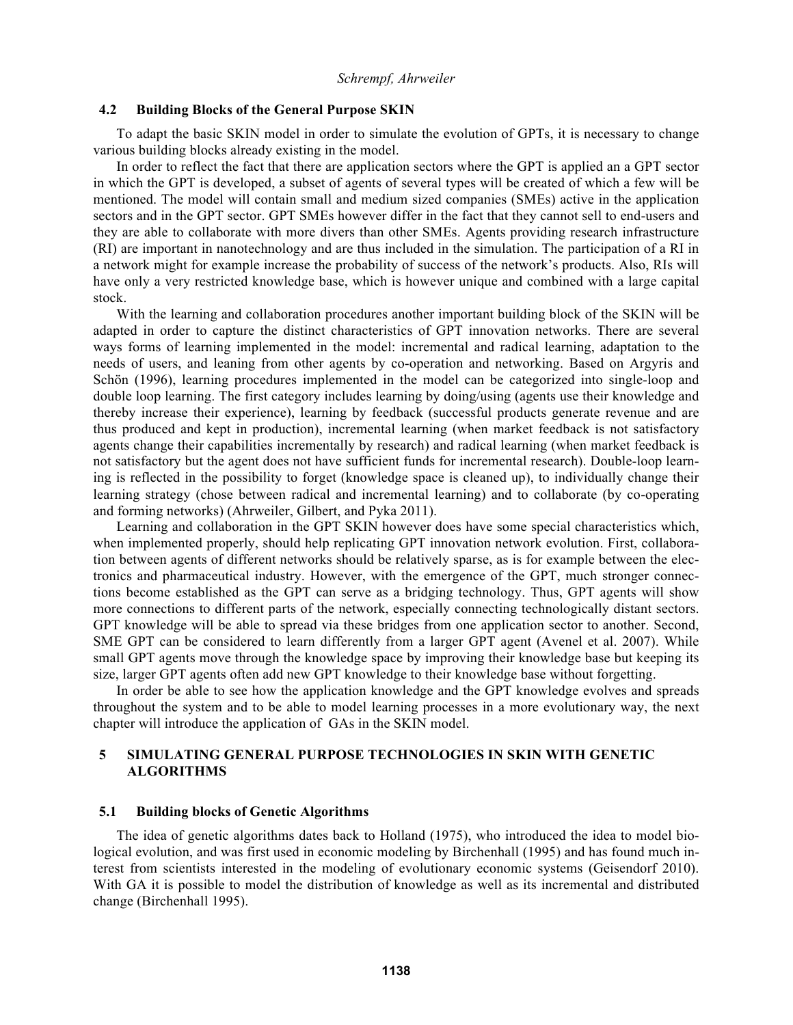#### **4.2 Building Blocks of the General Purpose SKIN**

To adapt the basic SKIN model in order to simulate the evolution of GPTs, it is necessary to change various building blocks already existing in the model.

In order to reflect the fact that there are application sectors where the GPT is applied an a GPT sector in which the GPT is developed, a subset of agents of several types will be created of which a few will be mentioned. The model will contain small and medium sized companies (SMEs) active in the application sectors and in the GPT sector. GPT SMEs however differ in the fact that they cannot sell to end-users and they are able to collaborate with more divers than other SMEs. Agents providing research infrastructure (RI) are important in nanotechnology and are thus included in the simulation. The participation of a RI in a network might for example increase the probability of success of the network's products. Also, RIs will have only a very restricted knowledge base, which is however unique and combined with a large capital stock.

With the learning and collaboration procedures another important building block of the SKIN will be adapted in order to capture the distinct characteristics of GPT innovation networks. There are several ways forms of learning implemented in the model: incremental and radical learning, adaptation to the needs of users, and leaning from other agents by co-operation and networking. Based on Argyris and Schön (1996), learning procedures implemented in the model can be categorized into single-loop and double loop learning. The first category includes learning by doing/using (agents use their knowledge and thereby increase their experience), learning by feedback (successful products generate revenue and are thus produced and kept in production), incremental learning (when market feedback is not satisfactory agents change their capabilities incrementally by research) and radical learning (when market feedback is not satisfactory but the agent does not have sufficient funds for incremental research). Double-loop learning is reflected in the possibility to forget (knowledge space is cleaned up), to individually change their learning strategy (chose between radical and incremental learning) and to collaborate (by co-operating and forming networks) (Ahrweiler, Gilbert, and Pyka 2011).

Learning and collaboration in the GPT SKIN however does have some special characteristics which, when implemented properly, should help replicating GPT innovation network evolution. First, collaboration between agents of different networks should be relatively sparse, as is for example between the electronics and pharmaceutical industry. However, with the emergence of the GPT, much stronger connections become established as the GPT can serve as a bridging technology. Thus, GPT agents will show more connections to different parts of the network, especially connecting technologically distant sectors. GPT knowledge will be able to spread via these bridges from one application sector to another. Second, SME GPT can be considered to learn differently from a larger GPT agent (Avenel et al. 2007). While small GPT agents move through the knowledge space by improving their knowledge base but keeping its size, larger GPT agents often add new GPT knowledge to their knowledge base without forgetting.

In order be able to see how the application knowledge and the GPT knowledge evolves and spreads throughout the system and to be able to model learning processes in a more evolutionary way, the next chapter will introduce the application of GAs in the SKIN model.

# **5 SIMULATING GENERAL PURPOSE TECHNOLOGIES IN SKIN WITH GENETIC ALGORITHMS**

#### **5.1 Building blocks of Genetic Algorithms**

The idea of genetic algorithms dates back to Holland (1975), who introduced the idea to model biological evolution, and was first used in economic modeling by Birchenhall (1995) and has found much interest from scientists interested in the modeling of evolutionary economic systems (Geisendorf 2010). With GA it is possible to model the distribution of knowledge as well as its incremental and distributed change (Birchenhall 1995).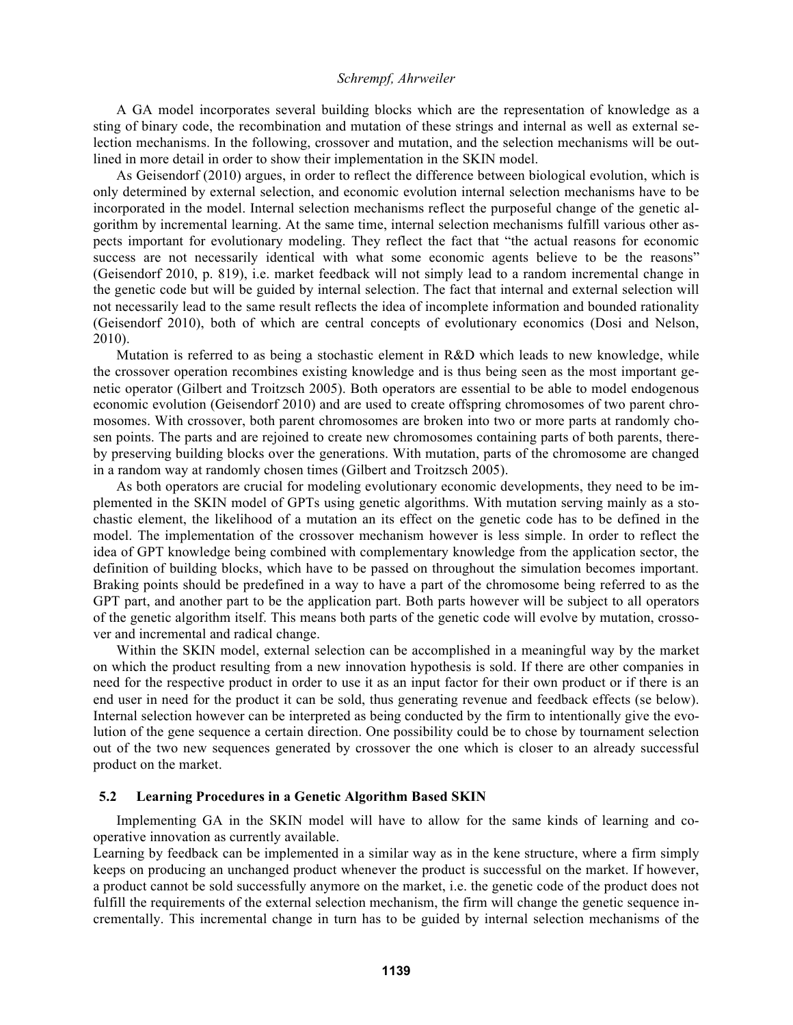A GA model incorporates several building blocks which are the representation of knowledge as a sting of binary code, the recombination and mutation of these strings and internal as well as external selection mechanisms. In the following, crossover and mutation, and the selection mechanisms will be outlined in more detail in order to show their implementation in the SKIN model.

As Geisendorf (2010) argues, in order to reflect the difference between biological evolution, which is only determined by external selection, and economic evolution internal selection mechanisms have to be incorporated in the model. Internal selection mechanisms reflect the purposeful change of the genetic algorithm by incremental learning. At the same time, internal selection mechanisms fulfill various other aspects important for evolutionary modeling. They reflect the fact that "the actual reasons for economic success are not necessarily identical with what some economic agents believe to be the reasons" (Geisendorf 2010, p. 819), i.e. market feedback will not simply lead to a random incremental change in the genetic code but will be guided by internal selection. The fact that internal and external selection will not necessarily lead to the same result reflects the idea of incomplete information and bounded rationality (Geisendorf 2010), both of which are central concepts of evolutionary economics (Dosi and Nelson, 2010).

Mutation is referred to as being a stochastic element in R&D which leads to new knowledge, while the crossover operation recombines existing knowledge and is thus being seen as the most important genetic operator (Gilbert and Troitzsch 2005). Both operators are essential to be able to model endogenous economic evolution (Geisendorf 2010) and are used to create offspring chromosomes of two parent chromosomes. With crossover, both parent chromosomes are broken into two or more parts at randomly chosen points. The parts and are rejoined to create new chromosomes containing parts of both parents, thereby preserving building blocks over the generations. With mutation, parts of the chromosome are changed in a random way at randomly chosen times (Gilbert and Troitzsch 2005).

As both operators are crucial for modeling evolutionary economic developments, they need to be implemented in the SKIN model of GPTs using genetic algorithms. With mutation serving mainly as a stochastic element, the likelihood of a mutation an its effect on the genetic code has to be defined in the model. The implementation of the crossover mechanism however is less simple. In order to reflect the idea of GPT knowledge being combined with complementary knowledge from the application sector, the definition of building blocks, which have to be passed on throughout the simulation becomes important. Braking points should be predefined in a way to have a part of the chromosome being referred to as the GPT part, and another part to be the application part. Both parts however will be subject to all operators of the genetic algorithm itself. This means both parts of the genetic code will evolve by mutation, crossover and incremental and radical change.

Within the SKIN model, external selection can be accomplished in a meaningful way by the market on which the product resulting from a new innovation hypothesis is sold. If there are other companies in need for the respective product in order to use it as an input factor for their own product or if there is an end user in need for the product it can be sold, thus generating revenue and feedback effects (se below). Internal selection however can be interpreted as being conducted by the firm to intentionally give the evolution of the gene sequence a certain direction. One possibility could be to chose by tournament selection out of the two new sequences generated by crossover the one which is closer to an already successful product on the market.

### **5.2 Learning Procedures in a Genetic Algorithm Based SKIN**

Implementing GA in the SKIN model will have to allow for the same kinds of learning and cooperative innovation as currently available.

Learning by feedback can be implemented in a similar way as in the kene structure, where a firm simply keeps on producing an unchanged product whenever the product is successful on the market. If however, a product cannot be sold successfully anymore on the market, i.e. the genetic code of the product does not fulfill the requirements of the external selection mechanism, the firm will change the genetic sequence incrementally. This incremental change in turn has to be guided by internal selection mechanisms of the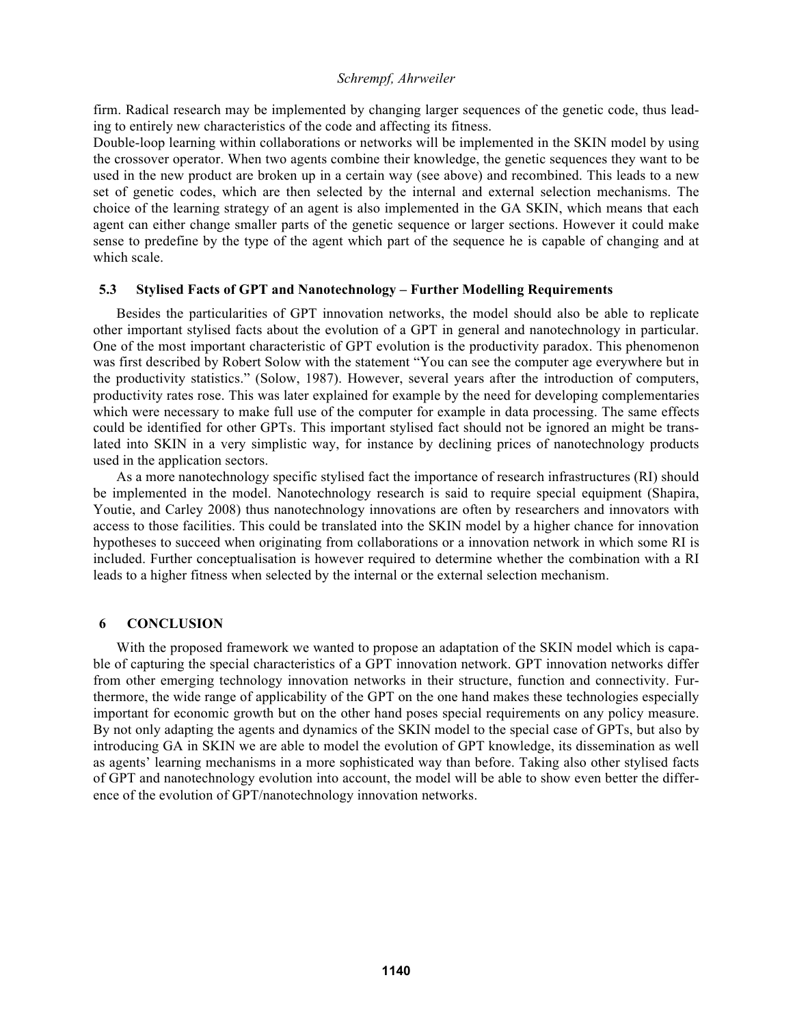firm. Radical research may be implemented by changing larger sequences of the genetic code, thus leading to entirely new characteristics of the code and affecting its fitness.

Double-loop learning within collaborations or networks will be implemented in the SKIN model by using the crossover operator. When two agents combine their knowledge, the genetic sequences they want to be used in the new product are broken up in a certain way (see above) and recombined. This leads to a new set of genetic codes, which are then selected by the internal and external selection mechanisms. The choice of the learning strategy of an agent is also implemented in the GA SKIN, which means that each agent can either change smaller parts of the genetic sequence or larger sections. However it could make sense to predefine by the type of the agent which part of the sequence he is capable of changing and at which scale.

## **5.3 Stylised Facts of GPT and Nanotechnology – Further Modelling Requirements**

Besides the particularities of GPT innovation networks, the model should also be able to replicate other important stylised facts about the evolution of a GPT in general and nanotechnology in particular. One of the most important characteristic of GPT evolution is the productivity paradox. This phenomenon was first described by Robert Solow with the statement "You can see the computer age everywhere but in the productivity statistics." (Solow, 1987). However, several years after the introduction of computers, productivity rates rose. This was later explained for example by the need for developing complementaries which were necessary to make full use of the computer for example in data processing. The same effects could be identified for other GPTs. This important stylised fact should not be ignored an might be translated into SKIN in a very simplistic way, for instance by declining prices of nanotechnology products used in the application sectors.

As a more nanotechnology specific stylised fact the importance of research infrastructures (RI) should be implemented in the model. Nanotechnology research is said to require special equipment (Shapira, Youtie, and Carley 2008) thus nanotechnology innovations are often by researchers and innovators with access to those facilities. This could be translated into the SKIN model by a higher chance for innovation hypotheses to succeed when originating from collaborations or a innovation network in which some RI is included. Further conceptualisation is however required to determine whether the combination with a RI leads to a higher fitness when selected by the internal or the external selection mechanism.

# **6 CONCLUSION**

With the proposed framework we wanted to propose an adaptation of the SKIN model which is capable of capturing the special characteristics of a GPT innovation network. GPT innovation networks differ from other emerging technology innovation networks in their structure, function and connectivity. Furthermore, the wide range of applicability of the GPT on the one hand makes these technologies especially important for economic growth but on the other hand poses special requirements on any policy measure. By not only adapting the agents and dynamics of the SKIN model to the special case of GPTs, but also by introducing GA in SKIN we are able to model the evolution of GPT knowledge, its dissemination as well as agents' learning mechanisms in a more sophisticated way than before. Taking also other stylised facts of GPT and nanotechnology evolution into account, the model will be able to show even better the difference of the evolution of GPT/nanotechnology innovation networks.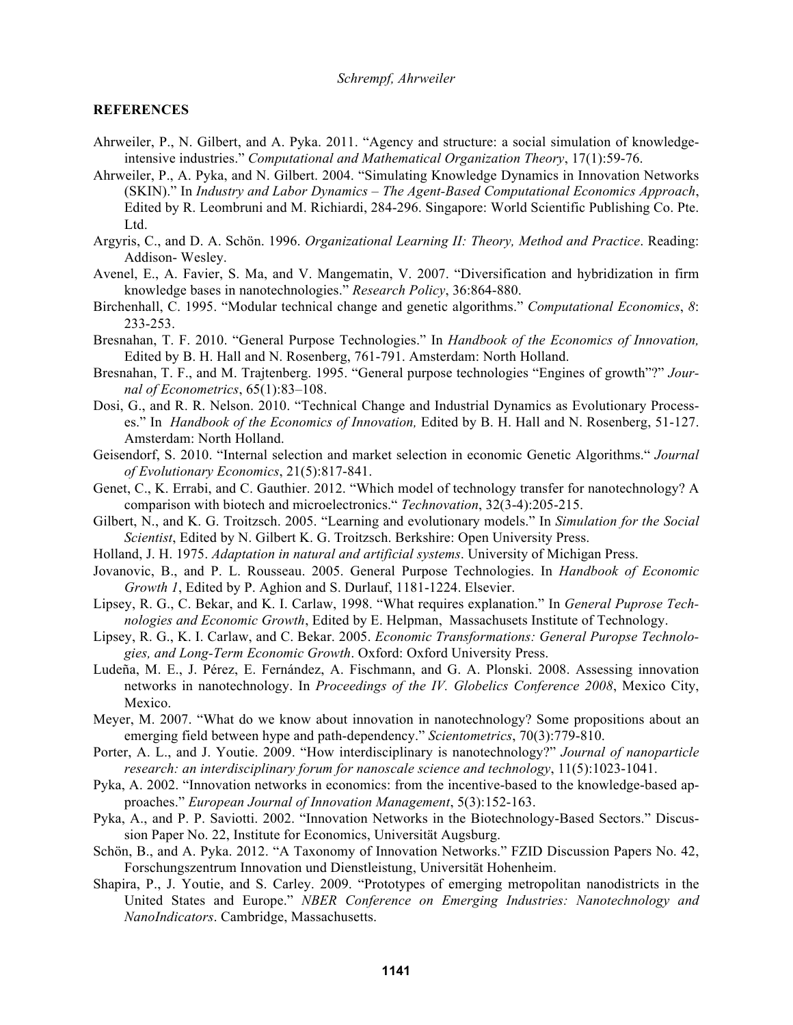### **REFERENCES**

- Ahrweiler, P., N. Gilbert, and A. Pyka. 2011. "Agency and structure: a social simulation of knowledgeintensive industries." *Computational and Mathematical Organization Theory*, 17(1):59-76.
- Ahrweiler, P., A. Pyka, and N. Gilbert. 2004. "Simulating Knowledge Dynamics in Innovation Networks (SKIN)." In *Industry and Labor Dynamics – The Agent-Based Computational Economics Approach*, Edited by R. Leombruni and M. Richiardi, 284-296. Singapore: World Scientific Publishing Co. Pte. Ltd.
- Argyris, C., and D. A. Schön. 1996. *Organizational Learning II: Theory, Method and Practice*. Reading: Addison- Wesley.
- Avenel, E., A. Favier, S. Ma, and V. Mangematin, V. 2007. "Diversification and hybridization in firm knowledge bases in nanotechnologies." *Research Policy*, 36:864-880.
- Birchenhall, C. 1995. "Modular technical change and genetic algorithms." *Computational Economics*, *8*: 233-253.
- Bresnahan, T. F. 2010. "General Purpose Technologies." In *Handbook of the Economics of Innovation,*  Edited by B. H. Hall and N. Rosenberg, 761-791. Amsterdam: North Holland.
- Bresnahan, T. F., and M. Trajtenberg. 1995. "General purpose technologies "Engines of growth"?" *Journal of Econometrics*, 65(1):83–108.
- Dosi, G., and R. R. Nelson. 2010. "Technical Change and Industrial Dynamics as Evolutionary Processes." In *Handbook of the Economics of Innovation,* Edited by B. H. Hall and N. Rosenberg, 51-127. Amsterdam: North Holland.
- Geisendorf, S. 2010. "Internal selection and market selection in economic Genetic Algorithms." *Journal of Evolutionary Economics*, 21(5):817-841.
- Genet, C., K. Errabi, and C. Gauthier. 2012. "Which model of technology transfer for nanotechnology? A comparison with biotech and microelectronics." *Technovation*, 32(3-4):205-215.
- Gilbert, N., and K. G. Troitzsch. 2005. "Learning and evolutionary models." In *Simulation for the Social Scientist*, Edited by N. Gilbert K. G. Troitzsch. Berkshire: Open University Press.
- Holland, J. H. 1975. *Adaptation in natural and artificial systems*. University of Michigan Press.
- Jovanovic, B., and P. L. Rousseau. 2005. General Purpose Technologies. In *Handbook of Economic Growth 1*, Edited by P. Aghion and S. Durlauf, 1181-1224. Elsevier.
- Lipsey, R. G., C. Bekar, and K. I. Carlaw, 1998. "What requires explanation." In *General Puprose Technologies and Economic Growth*, Edited by E. Helpman, Massachusets Institute of Technology.
- Lipsey, R. G., K. I. Carlaw, and C. Bekar. 2005. *Economic Transformations: General Puropse Technologies, and Long-Term Economic Growth*. Oxford: Oxford University Press.
- Ludeña, M. E., J. Pérez, E. Fernández, A. Fischmann, and G. A. Plonski. 2008. Assessing innovation networks in nanotechnology. In *Proceedings of the IV. Globelics Conference 2008*, Mexico City, Mexico.
- Meyer, M. 2007. "What do we know about innovation in nanotechnology? Some propositions about an emerging field between hype and path-dependency." *Scientometrics*, 70(3):779-810.
- Porter, A. L., and J. Youtie. 2009. "How interdisciplinary is nanotechnology?" *Journal of nanoparticle research: an interdisciplinary forum for nanoscale science and technology*, 11(5):1023-1041.
- Pyka, A. 2002. "Innovation networks in economics: from the incentive-based to the knowledge-based approaches." *European Journal of Innovation Management*, 5(3):152-163.
- Pyka, A., and P. P. Saviotti. 2002. "Innovation Networks in the Biotechnology-Based Sectors." Discussion Paper No. 22, Institute for Economics, Universität Augsburg.
- Schön, B., and A. Pyka. 2012. "A Taxonomy of Innovation Networks." FZID Discussion Papers No. 42, Forschungszentrum Innovation und Dienstleistung, Universität Hohenheim.
- Shapira, P., J. Youtie, and S. Carley. 2009. "Prototypes of emerging metropolitan nanodistricts in the United States and Europe." *NBER Conference on Emerging Industries: Nanotechnology and NanoIndicators*. Cambridge, Massachusetts.